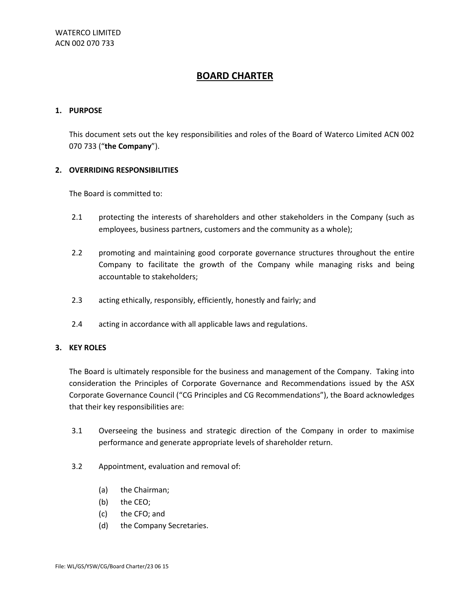### **1. PURPOSE**

This document sets out the key responsibilities and roles of the Board of Waterco Limited ACN 002 070 733 ("**the Company**").

### **2. OVERRIDING RESPONSIBILITIES**

The Board is committed to:

- 2.1 protecting the interests of shareholders and other stakeholders in the Company (such as employees, business partners, customers and the community as a whole);
- 2.2 promoting and maintaining good corporate governance structures throughout the entire Company to facilitate the growth of the Company while managing risks and being accountable to stakeholders;
- 2.3 acting ethically, responsibly, efficiently, honestly and fairly; and
- 2.4 acting in accordance with all applicable laws and regulations.

### **3. KEY ROLES**

The Board is ultimately responsible for the business and management of the Company. Taking into consideration the Principles of Corporate Governance and Recommendations issued by the ASX Corporate Governance Council ("CG Principles and CG Recommendations"), the Board acknowledges that their key responsibilities are:

- 3.1 Overseeing the business and strategic direction of the Company in order to maximise performance and generate appropriate levels of shareholder return.
- 3.2 Appointment, evaluation and removal of:
	- (a) the Chairman;
	- (b) the CEO;
	- (c) the CFO; and
	- (d) the Company Secretaries.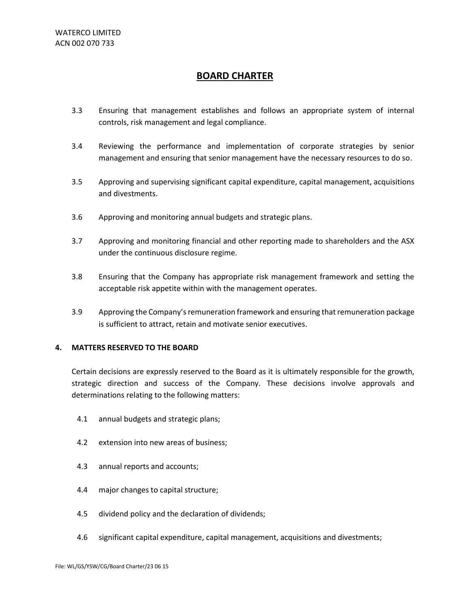- 3.3 Ensuring that management establishes and follows an appropriate system of internal controls, risk management and legal compliance.
- 3.4 Reviewing the performance and implementation of corporate strategies by senior management and ensuring that senior management have the necessary resources to do so.
- 3.5 Approving and supervising significant capital expenditure, capital management, acquisitions and divestments.
- 3.6 Approving and monitoring annual budgets and strategic plans.
- 3.7 Approving and monitoring financial and other reporting made to shareholders and the ASX under the continuous disclosure regime.
- 3.8 Ensuring that the Company has appropriate risk management framework and setting the acceptable risk appetite within with the management operates.
- 3.9 Approving the Company's remuneration framework and ensuring that remuneration package is sufficient to attract, retain and motivate senior executives.

### **4. MATTERS RESERVED TO THE BOARD**

Certain decisions are expressly reserved to the Board as it is ultimately responsible for the growth, strategic direction and success of the Company. These decisions involve approvals and determinations relating to the following matters:

- 4.1 annual budgets and strategic plans;
- 4.2 extension into new areas of business;
- 4.3 annual reports and accounts;
- 4.4 major changes to capital structure;
- 4.5 dividend policy and the declaration of dividends;
- 4.6 significant capital expenditure, capital management, acquisitions and divestments;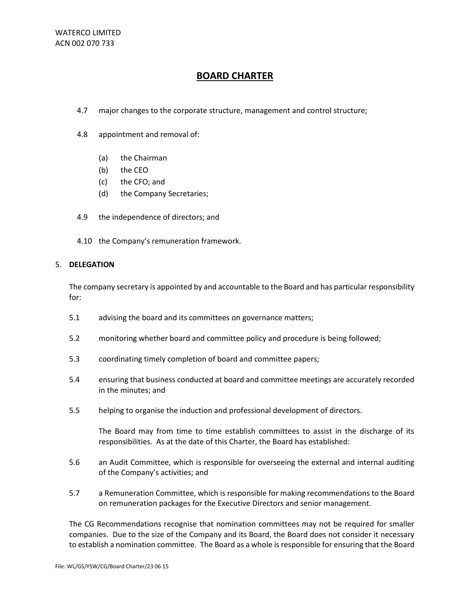- 4.7 major changes to the corporate structure, management and control structure;
- 4.8 appointment and removal of:
	- (a) the Chairman
	- (b) the CEO
	- (c) the CFO; and
	- (d) the Company Secretaries;
- 4.9 the independence of directors; and
- 4.10 the Company's remuneration framework.

#### 5. **DELEGATION**

The company secretary is appointed by and accountable to the Board and has particular responsibility for:

- 5.1 advising the board and its committees on governance matters;
- 5.2 monitoring whether board and committee policy and procedure is being followed;
- 5.3 coordinating timely completion of board and committee papers;
- 5.4 ensuring that business conducted at board and committee meetings are accurately recorded in the minutes; and
- 5.5 helping to organise the induction and professional development of directors.

The Board may from time to time establish committees to assist in the discharge of its responsibilities. As at the date of this Charter, the Board has established:

- 5.6 an Audit Committee, which is responsible for overseeing the external and internal auditing of the Company's activities; and
- 5.7 a Remuneration Committee, which is responsible for making recommendations to the Board on remuneration packages for the Executive Directors and senior management.

The CG Recommendations recognise that nomination committees may not be required for smaller companies. Due to the size of the Company and its Board, the Board does not consider it necessary to establish a nomination committee. The Board as a whole is responsible for ensuring that the Board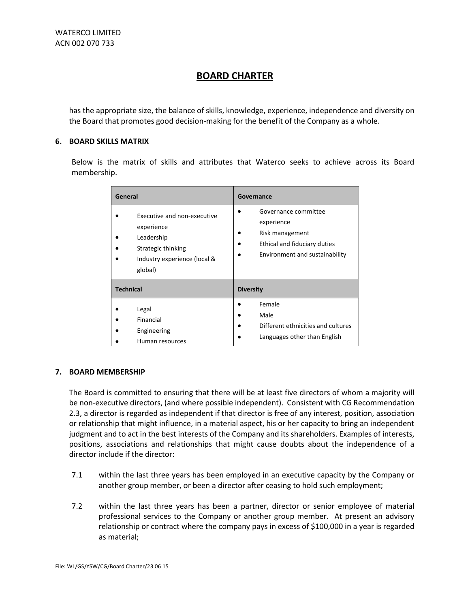has the appropriate size, the balance of skills, knowledge, experience, independence and diversity on the Board that promotes good decision-making for the benefit of the Company as a whole.

#### **6. BOARD SKILLS MATRIX**

Below is the matrix of skills and attributes that Waterco seeks to achieve across its Board membership.

| General          |                                                                                                                          | Governance                                                                                                              |
|------------------|--------------------------------------------------------------------------------------------------------------------------|-------------------------------------------------------------------------------------------------------------------------|
|                  | Executive and non-executive<br>experience<br>Leadership<br>Strategic thinking<br>Industry experience (local &<br>global) | Governance committee<br>experience<br>Risk management<br>Ethical and fiduciary duties<br>Environment and sustainability |
| <b>Technical</b> |                                                                                                                          | <b>Diversity</b>                                                                                                        |
|                  | Legal<br>Financial<br>Engineering<br>Human resources                                                                     | Female<br>Male<br>Different ethnicities and cultures<br>Languages other than English                                    |

### **7. BOARD MEMBERSHIP**

The Board is committed to ensuring that there will be at least five directors of whom a majority will be non-executive directors, (and where possible independent). Consistent with CG Recommendation 2.3, a director is regarded as independent if that director is free of any interest, position, association or relationship that might influence, in a material aspect, his or her capacity to bring an independent judgment and to act in the best interests of the Company and its shareholders. Examples of interests, positions, associations and relationships that might cause doubts about the independence of a director include if the director:

- 7.1 within the last three years has been employed in an executive capacity by the Company or another group member, or been a director after ceasing to hold such employment;
- 7.2 within the last three years has been a partner, director or senior employee of material professional services to the Company or another group member. At present an advisory relationship or contract where the company pays in excess of \$100,000 in a year is regarded as material;